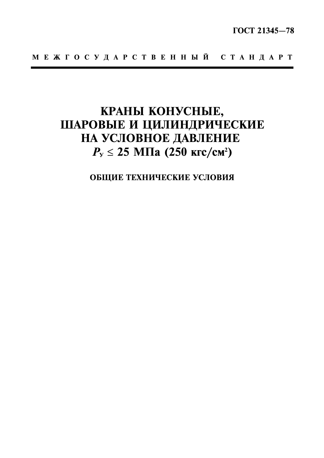# КРАНЫ КОНУСНЫЕ, ШАРОВЫЕ И ЦИЛИНДРИЧЕСКИЕ НА УСЛОВНОЕ ДАВЛЕНИЕ  $P_{y} \le 25$  MIIa (250 krc/cm<sup>2</sup>)

ОБЩИЕ ТЕХНИЧЕСКИЕ УСЛОВИЯ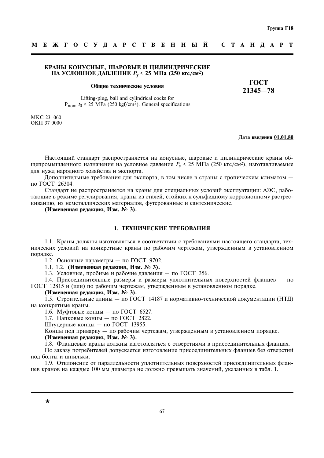# КРАНЫ КОНУСНЫЕ. ШАРОВЫЕ И ЦИЛИНДРИЧЕСКИЕ НА УСЛОВНОЕ ДАВЛЕНИЕ  $P_v$  ≤ 25 МПа (250 кгс/см<sup>2</sup>)

#### Общие технические условия

ГОСТ  $21345 - 78$ 

Lifting-plug, ball and cylindrical cocks for  $P_{\text{nom}} t_0 \leq 25 \text{ MPa}$  (250 kgf/cm<sup>2</sup>). General specifications

MKC 23, 060 OKII 37 0000

#### Дата введения 01.01.80

Настоящий стандарт распространяется на конусные, шаровые и цилиндрические краны общепромышленного назначения на условное давление  $P_v \le 25$  МПа (250 кгс/см<sup>2</sup>), изготавливаемые лля нужл наролного хозяйства и экспорта.

Дополнительные требования для экспорта, в том числе в страны с тропическим климатом по ГОСТ 26304.

Стандарт не распространяется на краны для специальных условий эксплуатации: АЭС, работающие в режиме регулирования, краны из сталей, стойких к сульфидному коррозионному растрескиванию, из неметаллических материалов, футерованные и сантехнические.

(Измененная редакция, Изм. № 3).

# 1. ТЕХНИЧЕСКИЕ ТРЕБОВАНИЯ

1.1. Краны должны изготовляться в соответствии с требованиями настоящего стандарта, технических условий на конкретные краны по рабочим чертежам, утвержденным в установленном порядке.

1.2. Основные параметры — по ГОСТ 9702.

1.1, 1.2. (Измененная релакция, Изм. № 3).

1.3. Условные, пробные и рабочие давления — по ГОСТ 356.

1.4. Присоединительные размеры и размеры уплотнительных поверхностей фланцев - по ГОСТ 12815 и (или) по рабочим чертежам, утвержденным в установленном порядке.

# (Измененная редакция, Изм. № 3).

1.5. Строительные длины — по ГОСТ 14187 и нормативно-технической документации (НТД) на конкретные краны.

1.6. Муфтовые концы — по ГОСТ 6527.

1.7. Цапковые концы — по ГОСТ 2822.

Штуцерные концы — по ГОСТ 13955.

Концы под приварку — по рабочим чертежам, утвержденным в установленном порядке.

#### (Измененная релакция, Изм. № 3).

1.8. Фланцевые краны должны изготовляться с отверстиями в присоединительных фланцах.

По заказу потребителей допускается изготовление присоединительных фланцев без отверстий под болты и шпильки.

1.9. Отклонение от параллельности уплотнительных поверхностей присоединительных фланцев кранов на кажлые 100 мм лиаметра не лолжно превышать значений, указанных в табл. 1.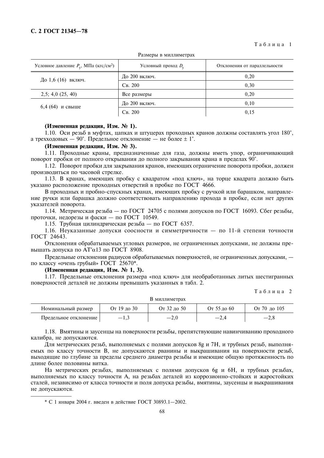Таблица 1

| Условное давление $P_v$ , МПа (кгс/см <sup>2</sup> ) | Условный проход $D_v$ | Отклонения от параллельности |  |  |
|------------------------------------------------------|-----------------------|------------------------------|--|--|
| До 1,6 (16) включ.                                   | До 200 включ.         | 0,20                         |  |  |
|                                                      | $C_B$ , 200           | 0,30                         |  |  |
| 2,5; 4,0(25, 40)                                     | Все размеры           | 0.20                         |  |  |
| $6,4(64)$ и свыше                                    | До 200 включ.         | 0,10                         |  |  |
|                                                      | $C_B$ , 200           | 0,15                         |  |  |

Размеры в миллиметрах

# (Измененная редакция, Изм. № 1).

1.10. Оси резьб в муфтах, цапках и штуцерах проходных кранов должны составлять угол 180°. а трехходовых — 90°. Предельное отклонение — не более  $\pm 1^{\circ}$ .

# (Измененная редакция, Изм. № 3).

1.11. Прохолные краны, прелназначенные лля газа, лолжны иметь упор, ограничивающий поворот пробки от полного открывания до полного закрывания крана в пределах 90°.

1.12. Поворот пробки для закрывания кранов, имеющих ограничение поворота пробки, должен производиться по часовой стрелке.

1.13. В кранах, имеющих пробку с квадратом «под ключ», на торце квадрата должно быть указано расположение проходных отверстий в пробке по ГОСТ 4666.

В проходных и пробно-спускных кранах, имеющих пробку с ручкой или барашком, направление ручки или барашка должно соответствовать направлению прохода в пробке, если нет других указателей поворота.

1.14. Метрическая резьба - по ГОСТ 24705 с полями допусков по ГОСТ 16093. Сбег резьбы, проточки, недорезы и фаски - по ГОСТ 10549.

1.15. Трубная цилиндрическая резьба — по ГОСТ 6357.

1.16. Неуказанные допуски соосности и симметричности - по 11-й степени точности ГОСТ 24643.

Отклонения обрабатываемых угловых размеров, не ограниченных допусками, не должны превышать допуска по AT'α13 по ГОСТ 8908.

Предельные отклонения радиусов обрабатываемых поверхностей, не ограниченных допусками, по классу «очень грубый» ГОСТ 25670\*.

#### (Измененная редакция, Изм. № 1, 3).

1.17. Предельные отклонения размера «под ключ» для необработанных литых шестигранных поверхностей деталей не должны превышать указанных в табл. 2.

Таблина 2

| В миллиметрах         |             |             |             |                       |
|-----------------------|-------------|-------------|-------------|-----------------------|
| Номинальный размер    | От 19 до 30 | От 32 до 50 | От 55 до 60 | От 70 до 105          |
| Предельное отклонение |             |             | $-2.4$      | $-\lambda$ . $\delta$ |

1.18. Вмятины и заусенцы на поверхности резьбы, препятствующие навинчиванию проходного калибра, не допускаются.

Для метрических резьб, выполняемых с полями допусков 8g и 7H, и трубных резьб, выполняемых по классу точности В, не допускаются рванины и выкрашивания на поверхности резьб, выходящие по глубине за пределы среднего диаметра резьбы и имеющие общую протяженность по длине более половины витка.

На метрических резьбах, выполняемых с полями допусков 6g и 6H, и трубных резьбах, выполняемых по классу точности А, на резьбах деталей из коррозионно-стойких и жаростойких сталей, независимо от класса точности и поля допуска резьбы, вмятины, заусенцы и выкрашивания не допускаются.

\* С 1 января 2004 г. ввелен в лействие ГОСТ 30893.1-2002.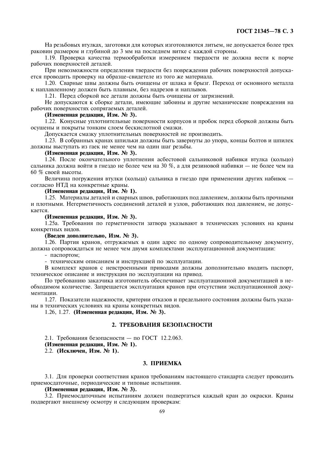На резьбовых втулках, заготовки для которых изготовляются литьем, не допускается более трех раковин размером и глубиной до 3 мм на последнем витке с каждой стороны.

1.19. Проверка качества термообработки измерением твердости не должна вести к порче рабочих поверхностей леталей.

При невозможности определения твердости без повреждения рабочих поверхностей допускается проводить проверку на образце-свидетеле из того же материала.

1.20. Сварные швы должны быть очищены от шлака и брызг. Переход от основного металла к наплавленному должен быть плавным, без надрезов и наплывов.

1.21. Перед сборкой все детали должны быть очищены от загрязнений.

Не допускаются к сборке детали, имеющие забоины и другие механические повреждения на рабочих поверхностях сопрягаемых деталей.

## (Измененная редакция, Изм. № 3).

1.22. Конусные уплотнительные поверхности корпусов и пробок перед сборкой должны быть осушены и покрыты тонким слоем бескислотной смазки.

Допускается смазку уплотнительных поверхностей не производить.

1.23. В собранных кранах шпильки должны быть завернуты до упора, концы болтов и шпилек должны выступать из гаек не менее чем на один шаг резьбы.

## (Измененная редакция, Изм. № 3).

1.24. После окончательного уплотнения асбестовой сальниковой набивки втулка (кольцо) сальника должна войти в гнездо не более чем на 30 %, а для резиновой набивки - не более чем на 60 % своей высоты.

Величина погружения втулки (кольца) сальника в гнездо при применении других набивок согласно НТД на конкретные краны.

#### (Измененная редакция, Изм. № 1).

1.25. Материалы деталей и сварных швов, работающих под давлением, должны быть прочными и плотными. Негерметичность соединений деталей и узлов, работающих под давлением, не допускается

#### (Измененная редакция, Изм. № 3).

1.25а. Требования по герметичности затвора указывают в технических условиях на краны конкретных видов.

#### (Введен дополнительно, Изм. № 3).

1.26. Партия кранов, отгружаемых в один адрес по одному сопроводительному документу, должна сопровождаться не менее чем двумя комплектами эксплуатационной документации:

- паспортом:

- техническим описанием и инструкцией по эксплуатации.

В комплект кранов с невстроенными приводами должны дополнительно входить паспорт, техническое описание и инструкция по эксплуатации на привод.

По требованию заказчика изготовитель обеспечивает эксплуатационной документацией в необходимом количестве. Запрещается эксплуатация кранов при отсутствии эксплуатационной документации.

1.27. Показатели надежности, критерии отказов и предельного состояния должны быть указаны в технических условиях на краны конкретных видов.

1.26, 1.27. (Измененная редакция, Изм. № 3).

#### 2. ТРЕБОВАНИЯ БЕЗОПАСНОСТИ

2.1. Требования безопасности - по ГОСТ 12.2.063.

(Измененная редакция, Изм. № 1).

2.2. (Исключен, Изм. № 1).

#### 3. ПРИЕМКА

3.1. Для проверки соответствия кранов требованиям настоящего стандарта следует проводить приемосдаточные, периодические и типовые испытания.

# (Измененная редакция, Изм. № 3).

3.2. Приемосдаточным испытаниям должен подвергаться каждый кран до окраски. Краны подвергают внешнему осмотру и следующим проверкам: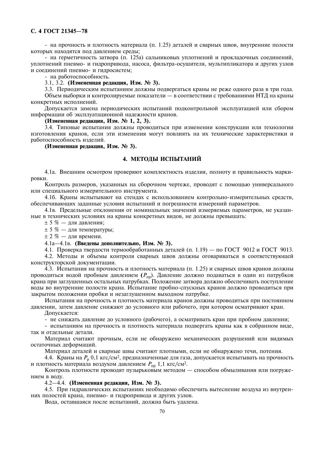- на прочность и плотность материала (п. 1.25) деталей и сварных швов, внутренние полости которых находятся под давлением среды;

- на герметичность затвора (п. 125а) сальниковых уплотнений и прокладочных соединений, уплотнений пневмо- и гилропривола, насоса, фильтра-осушителя, мультипликатора и лругих узлов и соелинений пневмо- и гилросистем:

- на работоспособность.

3.1, 3.2. (Измененная редакция, Изм. № 3).

3.3. Периодическим испытаниям должны подвергаться краны не реже одного раза в три года.

Объем выборки и контролируемые показатели — в соответствии с требованиями НТД на краны конкретных исполнений.

Лопускается замена периодических испытаний подконтрольной эксплуатацией или сбором информации об эксплуатационной надежности кранов.

## (Измененная редакция, Изм. № 1, 2, 3).

3.4. Типовые испытания должны проводиться при изменении конструкции или технологии изготовления кранов, если эти изменения могут повлиять на их технические характеристики и работоспособность изделий.

# (Измененная редакция, Изм. № 3).

# 4. МЕТОДЫ ИСПЫТАНИЙ

4.1а. Внешним осмотром проверяют комплектность изделия, полноту и правильность маркировки.

Контроль размеров, указанных на сборочном чертеже, проволят с помошью универсального или спениального измерительного инструмента.

4.16. Краны испытывают на стендах с использованием контрольно-измерительных средств. обеспечивающих заданные условия испытаний и погрешности измерений параметров.

4.1в. Предельные отклонения от номинальных значений измеряемых параметров, не указанные в технических условиях на краны конкретных видов, не должны превышать:

 $±$  5 % — для давления;

 $\pm$  5 % — для температуры;

 $\pm$  2 % — лля времени.

#### 4.1а-4.1в. (Введены дополнительно, Изм. № 3).

4.1. Проверка твердости термообработанных деталей (п. 1.19) — по ГОСТ 9012 и ГОСТ 9013.

4.2. Методы и объемы контроля сварных швов должны оговариваться в соответствующей конструкторской документации.

4.3. Испытания на прочность и плотность материала (п. 1.25) и сварных швов кранов должны проводиться водой пробным давлением  $(P_{\text{np}})$ . Давление должно подаваться в один из патрубков крана при заглушенных остальных патрубках. Положение затвора должно обеспечивать поступление воды во внутренние полости крана. Испытание пробно-спускных кранов должно проводиться при закрытом положении пробки и незаглушенном выходном патрубке.

Испытания на прочность и плотность материала кранов должны проводиться при постоянном давлении, затем давление снижают до условного или рабочего, при котором осматривают кран.

Лопускается:

- не снижать давление до условного (рабочего), а осматривать кран при пробном давлении;

- испытаниям на прочность и плотность материала подвергать краны как в собранном виде, так и отлельные летали.

Материал считают прочным, если не обнаружено механических разрушений или видимых остаточных деформаций.

Материал деталей и сварные швы считают плотными, если не обнаружено течи, потения.

4.4. Краны на  $P_p$  0,1 кгс/см<sup>2</sup>, предназначенные для газа, допускается испытывать на прочность и плотность материала воздухом давлением  $P_{\text{nn}}$  1,1 кгс/см<sup>2</sup>.

Контроль плотности проводят пузырьковым методом - способом обмыливания или погружением в воду.

4.2-4.4. (Измененная редакция, Изм. № 3).

4.5. При гидравлических испытаниях необходимо обеспечить вытеснение воздуха из внутренних полостей крана, пневмо- и гидропривода и других узлов.

Вода, оставшаяся после испытаний, должна быть удалена.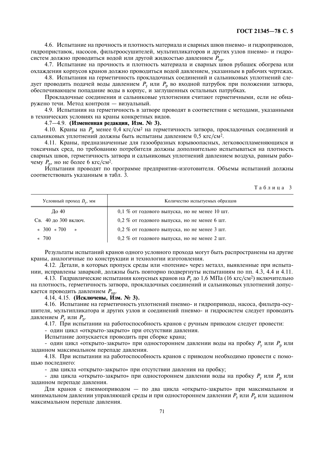4.6. Испытание на прочность и плотность материала и сварных швов пневмо- и гидроприводов, гидроприставок, насосов, фильтроосушителей, мультипликаторов и других узлов пневмо- и гидросистем должно проводиться водой или другой жидкостью давлением  $P_{\text{nn}}$ .

4.7. Испытание на прочность и плотность материала и сварных швов рубашек обогрева или охлаждения корпусов кранов должно проводиться водой давлением, указанным в рабочих чертежах.

4.8. Испытания на герметичность прокладочных соединений и сальниковых уплотнений следует проводить подачей воды давлением  $P_y$  или  $P_p$  во входной патрубок при положении затвора, обеспечивающем попадание воды в корпус, и заглушенных остальных патрубках.

Прокладочные соединения и сальниковые уплотнения считают герметичными, если не обнаружено течи. Метод контроля - визуальный.

4.9. Испытания на герметичность в затворе проводят в соответствии с методами, указанными в технических условиях на краны конкретных видов.

#### 4.7-4.9. (Измененная редакция, Изм. № 3).

4.10. Краны на  $P_p$  менее 0,4 кгс/см<sup>2</sup> на герметичность затвора, прокладочных соединений и сальниковых уплотнений должны быть испытаны давлением 0,5 кгс/см<sup>2</sup>.

4.11. Краны, предназначенные для газообразных взрывоопасных, легковоспламеняющихся и токсичных сред, по требованию потребителя должны дополнительно испытываться на плотность сварных швов, герметичность затвора и сальниковых уплотнений давлением воздуха, равным рабочему  $P_p$ , но не более 6 кгс/см<sup>2</sup>.

Испытания проводят по программе предприятия-изготовителя. Объемы испытаний должны соответствовать указанным в табл. 3.

Таблица 3

| Условный проход $D_v$ , мм | Количество испытуемых образцов                |
|----------------------------|-----------------------------------------------|
| До 40                      | 0,1 % от годового выпуска, но не менее 10 шт. |
| Св. 40 до 300 включ.       | 0,2 % от годового выпуска, но не менее 6 шт.  |
| $\approx 300 \times 700$ » | 0,2 % от годового выпуска, но не менее 3 шт.  |
| $\approx 700$              | 0,2 % от годового выпуска, но не менее 2 шт.  |

Результаты испытаний кранов одного условного прохода могут быть распространены на другие краны, аналогичные по конструкции и технологии изготовления.

4.12. Детали, в которых пропуск среды или «потение» через металл, выявленные при испытании, исправлены заваркой, должны быть повторно подвергнуты испытаниям по пп. 4.3, 4.4 и 4.11.

4.13. Гидравлические испытания конусных кранов на  $P_v$  до 1,6 МПа (16 кгс/см<sup>2</sup>) включительно на плотность, герметичность затвора, прокладочных соединений и сальниковых уплотнений допускается проводить давлением  $P_{\text{TD}}$ .

4.14, 4.15. (Исключены, Изм. № 3).

4.16. Испытание на герметичность уплотнений пневмо- и гидропривода, насоса, фильтра-осушителя, мультипликатора и других узлов и соединений пневмо- и гидросистем следует проводить давлением  $P_{v}$  или  $P_{p}$ .

4.17. При испытании на работоспособность кранов с ручным приводом следует провести:

- один цикл «открыто-закрыто» при отсутствии давления.

Испытание допускается проводить при сборке крана;

- один цикл «открыто-закрыто» при одностороннем давлении воды на пробку  $P_v$  или  $P_p$  или заданном максимальном перепаде давления.

4.18. При испытании на работоспособность кранов с приводом необходимо провести с помощью последнего:

- два цикла «открыто-закрыто» при отсутствии давления на пробку;

- два цикла «открыто-закрыто» при одностороннем давлении воды на пробку  $P_{v}$  или  $P_{p}$  или заданном перепаде давления.

Для кранов с пневмоприводом - по два цикла «открыто-закрыто» при максимальном и минимальном давлении управляющей среды и при одностороннем давлении  $P_v$  или  $P_p$  или заданном максимальном перепаде давления.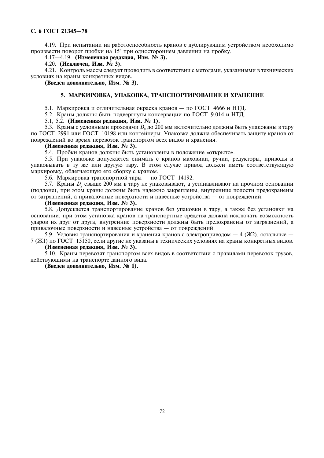4.19. При испытании на работоспособность кранов с дублирующим устройством необходимо произвести поворот пробки на 15° при одностороннем давлении на пробку.

# 4.17-4.19. (Измененная редакция, Изм. № 3).

4.20. (Исключен, Изм. № 3).

4.21. Контроль массы следует проводить в соответствии с методами, указанными в технических условиях на краны конкретных видов.

(Введен дополнительно, Изм. № 3).

# 5. МАРКИРОВКА, УПАКОВКА, ТРАНСПОРТИРОВАНИЕ И ХРАНЕНИЕ

5.1. Маркировка и отличительная окраска кранов — по ГОСТ 4666 и НТД.

- 5.2. Краны должны быть подвергнуты консервации по ГОСТ 9.014 и НТД.
- 5.1, 5.2. (Измененная редакция, Изм. № 1).

5.3. Краны с условными проходами  $D_v$  до 200 мм включительно должны быть упакованы в тару по ГОСТ 2991 или ГОСТ 10198 или контейнеры. Упаковка должна обеспечивать защиту кранов от повреждений во время перевозок транспортом всех видов и хранения.

#### (Измененная редакция, Изм. № 3).

5.4. Пробки кранов должны быть установлены в положение «открыто».

5.5. При упаковке допускается снимать с кранов маховики, ручки, редукторы, приводы и упаковывать в ту же или другую тару. В этом случае привод должен иметь соответствующую маркировку, облегчающую его сборку с краном.

5.6. Маркировка транспортной тары - по ГОСТ 14192.

5.7. Краны  $D_v$  свыше 200 мм в тару не упаковывают, а устанавливают на прочном основании (поддоне), при этом краны должны быть надежно закреплены, внутренние полости предохранены от загрязнений, а привалочные поверхности и навесные устройства - от повреждений.

#### (Измененная редакция, Изм. № 3).

5.8. Допускается транспортирование кранов без упаковки в тару, а также без установки на основании, при этом установка кранов на транспортные средства должна исключать возможность ударов их друг от друга, внутренние поверхности должны быть предохранены от загрязнений, а привалочные поверхности и навесные устройства - от повреждений.

5.9. Условия транспортирования и хранения кранов с электроприводом - 4 (Ж2), остальные -7 (Ж1) по ГОСТ 15150, если другие не указаны в технических условиях на краны конкретных видов.

# (Измененная редакция, Изм. № 3).

5.10. Краны перевозят транспортом всех видов в соответствии с правилами перевозок грузов, действующими на транспорте данного вида.

(Введен дополнительно, Изм. № 1).